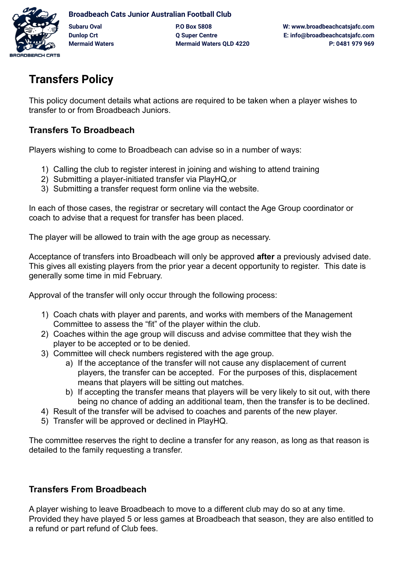

## **Transfers Policy**

This policy document details what actions are required to be taken when a player wishes to transfer to or from Broadbeach Juniors.

## **Transfers To Broadbeach**

Players wishing to come to Broadbeach can advise so in a number of ways:

- 1) Calling the club to register interest in joining and wishing to attend training
- 2) Submitting a player-initiated transfer via PlayHQ,or
- 3) Submitting a transfer request form online via the website.

In each of those cases, the registrar or secretary will contact the Age Group coordinator or coach to advise that a request for transfer has been placed.

The player will be allowed to train with the age group as necessary.

Acceptance of transfers into Broadbeach will only be approved **after** a previously advised date. This gives all existing players from the prior year a decent opportunity to register. This date is generally some time in mid February.

Approval of the transfer will only occur through the following process:

- 1) Coach chats with player and parents, and works with members of the Management Committee to assess the "fit" of the player within the club.
- 2) Coaches within the age group will discuss and advise committee that they wish the player to be accepted or to be denied.
- 3) Committee will check numbers registered with the age group.
	- a) If the acceptance of the transfer will not cause any displacement of current players, the transfer can be accepted. For the purposes of this, displacement means that players will be sitting out matches.
	- b) If accepting the transfer means that players will be very likely to sit out, with there being no chance of adding an additional team, then the transfer is to be declined.
- 4) Result of the transfer will be advised to coaches and parents of the new player.
- 5) Transfer will be approved or declined in PlayHQ.

The committee reserves the right to decline a transfer for any reason, as long as that reason is detailed to the family requesting a transfer.

## **Transfers From Broadbeach**

A player wishing to leave Broadbeach to move to a different club may do so at any time. Provided they have played 5 or less games at Broadbeach that season, they are also entitled to a refund or part refund of Club fees.